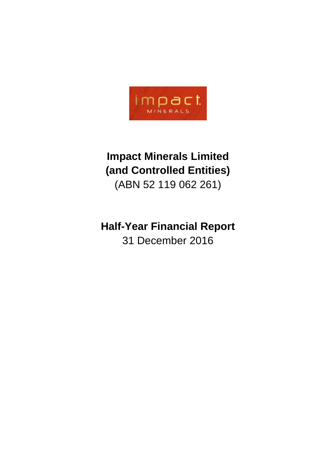

# **Impact Minerals Limited (and Controlled Entities)** (ABN 52 119 062 261)

# **Half-Year Financial Report** 31 December 2016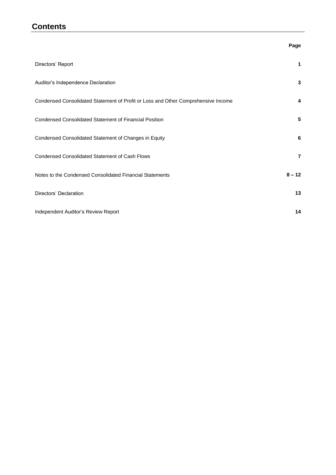### **Contents**

#### **Page**

| Directors' Report                                                                 | 1        |
|-----------------------------------------------------------------------------------|----------|
| Auditor's Independence Declaration                                                | 3        |
| Condensed Consolidated Statement of Profit or Loss and Other Comprehensive Income | 4        |
| <b>Condensed Consolidated Statement of Financial Position</b>                     | 5        |
| Condensed Consolidated Statement of Changes in Equity                             | 6        |
| <b>Condensed Consolidated Statement of Cash Flows</b>                             | 7        |
| Notes to the Condensed Consolidated Financial Statements                          | $8 - 12$ |
| Directors' Declaration                                                            | 13       |
| Independent Auditor's Review Report                                               | 14       |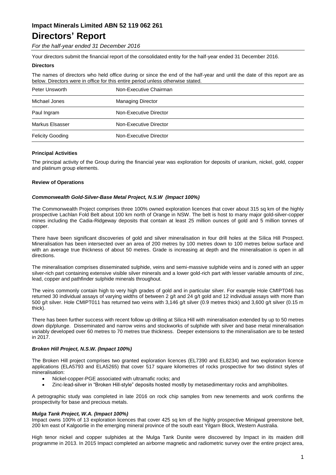## **Directors' Report**

*For the half-year ended 31 December 2016*

Your directors submit the financial report of the consolidated entity for the half-year ended 31 December 2016.

#### **Directors**

The names of directors who held office during or since the end of the half-year and until the date of this report are as below. Directors were in office for this entire period unless otherwise stated.

| Peter Unsworth          | Non-Executive Chairman   |  |  |
|-------------------------|--------------------------|--|--|
| Michael Jones           | <b>Managing Director</b> |  |  |
| Paul Ingram             | Non-Executive Director   |  |  |
| Markus Elsasser         | Non-Executive Director   |  |  |
| <b>Felicity Gooding</b> | Non-Executive Director   |  |  |

#### **Principal Activities**

The principal activity of the Group during the financial year was exploration for deposits of uranium, nickel, gold, copper and platinum group elements.

#### **Review of Operations**

#### *Commonwealth Gold-Silver-Base Metal Project, N.S.W (Impact 100%)*

The Commonwealth Project comprises three 100% owned exploration licences that cover about 315 sq km of the highly prospective Lachlan Fold Belt about 100 km north of Orange in NSW. The belt is host to many major gold-silver-copper mines including the Cadia-Ridgeway deposits that contain at least 25 million ounces of gold and 5 million tonnes of copper.

There have been significant discoveries of gold and silver mineralisation in four drill holes at the Silica Hill Prospect. Mineralisation has been intersected over an area of 200 metres by 100 metres down to 100 metres below surface and with an average true thickness of about 50 metres. Grade is increasing at depth and the mineralisation is open in all directions.

The mineralisation comprises disseminated sulphide, veins and semi-massive sulphide veins and is zoned with an upper silver-rich part containing extensive visible silver minerals and a lower gold-rich part with lesser variable amounts of zinc, lead, copper and pathfinder sulphide minerals throughout.

The veins commonly contain high to very high grades of gold and in particular silver. For example Hole CMIPT046 has returned 30 individual assays of varying widths of between 2 g/t and 24 g/t gold and 12 individual assays with more than 500 g/t silver. Hole CMIPT011 has returned two veins with 3,146 g/t silver (0.9 metres thick) and 3,600 g/t silver (0.15 m thick).

There has been further success with recent follow up drilling at Silica Hill with mineralisation extended by up to 50 metres down dip/plunge. Disseminated and narrow veins and stockworks of sulphide with silver and base metal mineralisation variably developed over 60 metres to 70 metres true thickness. Deeper extensions to the mineralisation are to be tested in 2017.

#### *Broken Hill Project, N.S.W. (Impact 100%)*

The Broken Hill project comprises two granted exploration licences (EL7390 and EL8234) and two exploration licence applications (ELA5793 and ELA5265) that cover 517 square kilometres of rocks prospective for two distinct styles of mineralisation:

- Nickel-copper-PGE associated with ultramafic rocks; and
- Zinc-lead-silver in "Broken Hill-style" deposits hosted mostly by metasedimentary rocks and amphibolites.

A petrographic study was completed in late 2016 on rock chip samples from new tenements and work confirms the prospectivity for base and precious metals.

#### *Mulga Tank Project, W.A. (Impact 100%)*

Impact owns 100% of 13 exploration licences that cover 425 sq km of the highly prospective Minigwal greenstone belt, 200 km east of Kalgoorlie in the emerging mineral province of the south east Yilgarn Block, Western Australia.

High tenor nickel and copper sulphides at the Mulga Tank Dunite were discovered by Impact in its maiden drill programme in 2013. In 2015 Impact completed an airborne magnetic and radiometric survey over the entire project area,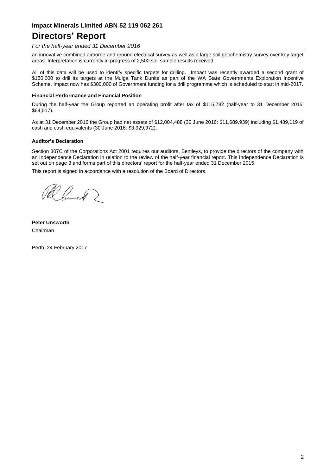## **Directors' Report**

#### *For the half-year ended 31 December 2016*

an innovative combined airborne and ground electrical survey as well as a large soil geochemistry survey over key target areas. Interpretation is currently in progress of 2,500 soil sample results received.

All of this data will be used to identify specific targets for drilling. Impact was recently awarded a second grant of \$150,000 to drill its targets at the Mulga Tank Dunite as part of the WA State Governments Exploration Incentive Scheme. Impact now has \$300,000 of Government funding for a drill programme which is scheduled to start in mid-2017.

#### **Financial Performance and Financial Position**

During the half-year the Group reported an operating profit after tax of \$115,782 (half-year to 31 December 2015: \$64,517).

As at 31 December 2016 the Group had net assets of \$12,004,488 (30 June 2016: \$11,689,939) including \$1,489,119 of cash and cash equivalents (30 June 2016: \$3,929,972).

#### **Auditor's Declaration**

Section 307C of the Corporations Act 2001 requires our auditors, Bentleys, to provide the directors of the company with an Independence Declaration in relation to the review of the half-year financial report. This Independence Declaration is set out on page 3 and forms part of this directors' report for the half-year ended 31 December 2015.

This report is signed in accordance with a resolution of the Board of Directors.

R Cumoro 2

**Peter Unsworth** Chairman

Perth, 24 February 2017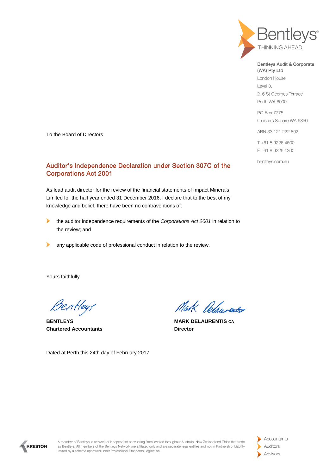

Bentleys Audit & Corporate (WA) Pty Ltd

London House Level 3. 216 St Georges Terrace Perth WA 6000

PO Box 7775 Cloisters Square WA 6850

ABN 33 121 222 802

T+61 8 9226 4500 F+61 8 9226 4300

bentleys.com.au

To the Board of Directors

#### Auditor's Independence Declaration under Section 307C of the Corporations Act 2001

As lead audit director for the review of the financial statements of Impact Minerals Limited for the half year ended 31 December 2016, I declare that to the best of my knowledge and belief, there have been no contraventions of:

- ▶ the auditor independence requirements of the *Corporations Act 2001* in relation to the review; and
- $\blacktriangleright$ any applicable code of professional conduct in relation to the review.

Yours faithfully

Bentleys

**BENTLEYS MARK DELAURENTIS CA Chartered Accountants Director** 

Dated at Perth this 24th day of February 2017

Mak Relaurentes



A member of Bentleys, a network of independent accounting firms located throughout Australia, New Zealand and China that trade as Bentleys. All members of the Bentleys Network are affiliated only and are separate legal entities and not in Partnership. Liability limited by a scheme approved under Professional Standards Legislation.

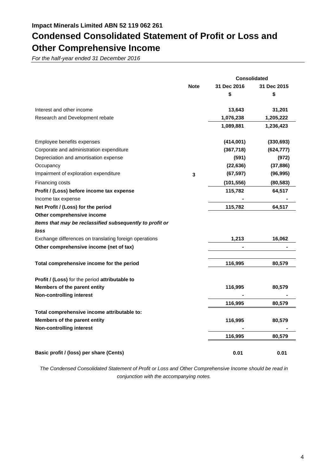## **Condensed Consolidated Statement of Profit or Loss and Other Comprehensive Income**

*For the half-year ended 31 December 2016*

|                                                          |              |             | <b>Consolidated</b> |
|----------------------------------------------------------|--------------|-------------|---------------------|
|                                                          | <b>Note</b>  | 31 Dec 2016 | 31 Dec 2015         |
|                                                          |              | \$          | \$                  |
| Interest and other income                                |              | 13,643      | 31,201              |
| Research and Development rebate                          |              | 1,076,238   | 1,205,222           |
|                                                          |              | 1,089,881   | 1,236,423           |
| Employee benefits expenses                               |              | (414,001)   | (330, 693)          |
| Corporate and administration expenditure                 |              | (367, 718)  | (624, 777)          |
| Depreciation and amortisation expense                    |              | (591)       | (972)               |
| Occupancy                                                |              | (22, 636)   | (37, 886)           |
| Impairment of exploration expenditure                    | $\mathbf{3}$ | (67, 597)   | (96, 995)           |
| Financing costs                                          |              | (101, 556)  | (80, 583)           |
| Profit / (Loss) before income tax expense                |              | 115,782     | 64,517              |
| Income tax expense                                       |              |             |                     |
| Net Profit / (Loss) for the period                       |              | 115,782     | 64,517              |
| Other comprehensive income                               |              |             |                     |
| Items that may be reclassified subsequently to profit or |              |             |                     |
| loss                                                     |              |             |                     |
| Exchange differences on translating foreign operations   |              | 1,213       | 16,062              |
| Other comprehensive income (net of tax)                  |              |             |                     |
| Total comprehensive income for the period                |              | 116,995     | 80,579              |
| Profit / (Loss) for the period attributable to           |              |             |                     |
| Members of the parent entity                             |              | 116,995     | 80,579              |
| <b>Non-controlling interest</b>                          |              |             |                     |
|                                                          |              | 116,995     | 80,579              |
| Total comprehensive income attributable to:              |              |             |                     |
| Members of the parent entity                             |              | 116,995     | 80,579              |
| <b>Non-controlling interest</b>                          |              |             |                     |
|                                                          |              | 116,995     | 80,579              |
| Basic profit / (loss) per share (Cents)                  |              | 0.01        | 0.01                |

*The Condensed Consolidated Statement of Profit or Loss and Other Comprehensive Income should be read in conjunction with the accompanying notes.*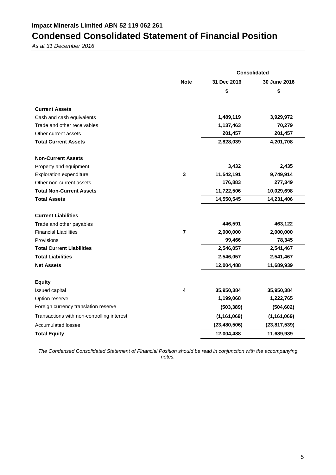## **Condensed Consolidated Statement of Financial Position**

*As at 31 December 2016*

|                                            |                | <b>Consolidated</b> |                |  |  |
|--------------------------------------------|----------------|---------------------|----------------|--|--|
|                                            | <b>Note</b>    | 31 Dec 2016         | 30 June 2016   |  |  |
|                                            |                | \$                  | \$             |  |  |
| <b>Current Assets</b>                      |                |                     |                |  |  |
| Cash and cash equivalents                  |                | 1,489,119           | 3,929,972      |  |  |
| Trade and other receivables                |                | 1,137,463           | 70,279         |  |  |
| Other current assets                       |                | 201,457             | 201,457        |  |  |
| <b>Total Current Assets</b>                |                | 2,828,039           | 4,201,708      |  |  |
| <b>Non-Current Assets</b>                  |                |                     |                |  |  |
| Property and equipment                     |                | 3,432               | 2,435          |  |  |
| <b>Exploration expenditure</b>             | $\mathbf{3}$   | 11,542,191          | 9,749,914      |  |  |
| Other non-current assets                   |                | 176,883             | 277,349        |  |  |
| <b>Total Non-Current Assets</b>            |                | 11,722,506          | 10,029,698     |  |  |
| <b>Total Assets</b>                        |                | 14,550,545          | 14,231,406     |  |  |
| <b>Current Liabilities</b>                 |                |                     |                |  |  |
| Trade and other payables                   |                | 446,591             | 463,122        |  |  |
| <b>Financial Liabilities</b>               | $\overline{7}$ | 2,000,000           | 2,000,000      |  |  |
| Provisions                                 |                | 99,466              | 78,345         |  |  |
| <b>Total Current Liabilities</b>           |                | 2,546,057           | 2,541,467      |  |  |
| <b>Total Liabilities</b>                   |                | 2,546,057           | 2,541,467      |  |  |
| <b>Net Assets</b>                          |                | 12,004,488          | 11,689,939     |  |  |
| <b>Equity</b>                              |                |                     |                |  |  |
| Issued capital                             | 4              | 35,950,384          | 35,950,384     |  |  |
| Option reserve                             |                | 1,199,068           | 1,222,765      |  |  |
| Foreign currency translation reserve       |                | (503, 389)          | (504, 602)     |  |  |
| Transactions with non-controlling interest |                | (1, 161, 069)       | (1, 161, 069)  |  |  |
| <b>Accumulated losses</b>                  |                | (23, 480, 506)      | (23, 817, 539) |  |  |
| <b>Total Equity</b>                        |                | 12,004,488          | 11,689,939     |  |  |

*The Condensed Consolidated Statement of Financial Position should be read in conjunction with the accompanying notes.*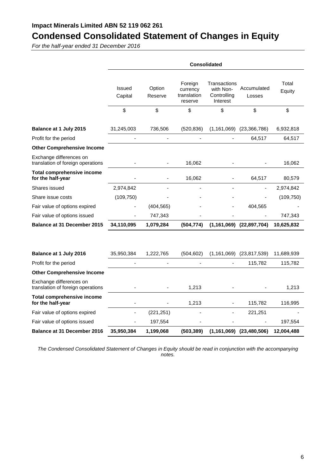## **Condensed Consolidated Statement of Changes in Equity**

*For the half-year ended 31 December 2016*

| Transactions<br>Total<br>Foreign<br>Issued<br>Option<br>Accumulated<br>with Non-<br>currency<br>Equity<br>translation<br>Controlling<br>Capital<br>Reserve<br>Losses<br>Interest<br>reserve<br>\$<br>\$<br>\$<br>\$<br>\$<br>\$<br>Balance at 1 July 2015<br>31,245,003<br>736,506<br>(1, 161, 069)<br>(23, 366, 786)<br>(520, 836)<br>Profit for the period<br>64,517<br><b>Other Comprehensive Income</b><br>Exchange differences on<br>translation of foreign operations<br>16,062<br><b>Total comprehensive income</b><br>for the half-year<br>16,062<br>64,517<br>Shares issued<br>2,974,842<br>Share issue costs<br>(109, 750)<br>Fair value of options expired<br>(404, 565)<br>404,565<br>Fair value of options issued<br>747,343<br>Balance at 31 December 2015<br>34,110,095<br>(1, 161, 069)<br>1,079,284<br>(504, 774)<br>(22, 897, 704)<br>Balance at 1 July 2016<br>35,950,384<br>1,222,765<br>(504, 602)<br>$(1,161,069)$ $(23,817,539)$<br>11,689,939<br>Profit for the period<br>115,782<br><b>Other Comprehensive Income</b><br>Exchange differences on<br>translation of foreign operations<br>1,213<br><b>Total comprehensive income</b><br>for the half-year<br>1,213<br>115,782<br>(221, 251)<br>Fair value of options expired<br>221,251<br>Fair value of options issued<br>197,554<br><b>Balance at 31 December 2016</b><br>35,950,384<br>1,199,068<br>$(1,161,069)$ $(23,480,506)$<br>(503, 389) | <b>Consolidated</b> |  |  |  |            |
|---------------------------------------------------------------------------------------------------------------------------------------------------------------------------------------------------------------------------------------------------------------------------------------------------------------------------------------------------------------------------------------------------------------------------------------------------------------------------------------------------------------------------------------------------------------------------------------------------------------------------------------------------------------------------------------------------------------------------------------------------------------------------------------------------------------------------------------------------------------------------------------------------------------------------------------------------------------------------------------------------------------------------------------------------------------------------------------------------------------------------------------------------------------------------------------------------------------------------------------------------------------------------------------------------------------------------------------------------------------------------------------------------------------------------|---------------------|--|--|--|------------|
|                                                                                                                                                                                                                                                                                                                                                                                                                                                                                                                                                                                                                                                                                                                                                                                                                                                                                                                                                                                                                                                                                                                                                                                                                                                                                                                                                                                                                           |                     |  |  |  |            |
|                                                                                                                                                                                                                                                                                                                                                                                                                                                                                                                                                                                                                                                                                                                                                                                                                                                                                                                                                                                                                                                                                                                                                                                                                                                                                                                                                                                                                           |                     |  |  |  |            |
|                                                                                                                                                                                                                                                                                                                                                                                                                                                                                                                                                                                                                                                                                                                                                                                                                                                                                                                                                                                                                                                                                                                                                                                                                                                                                                                                                                                                                           |                     |  |  |  | 6,932,818  |
|                                                                                                                                                                                                                                                                                                                                                                                                                                                                                                                                                                                                                                                                                                                                                                                                                                                                                                                                                                                                                                                                                                                                                                                                                                                                                                                                                                                                                           |                     |  |  |  | 64,517     |
|                                                                                                                                                                                                                                                                                                                                                                                                                                                                                                                                                                                                                                                                                                                                                                                                                                                                                                                                                                                                                                                                                                                                                                                                                                                                                                                                                                                                                           |                     |  |  |  |            |
|                                                                                                                                                                                                                                                                                                                                                                                                                                                                                                                                                                                                                                                                                                                                                                                                                                                                                                                                                                                                                                                                                                                                                                                                                                                                                                                                                                                                                           |                     |  |  |  | 16,062     |
|                                                                                                                                                                                                                                                                                                                                                                                                                                                                                                                                                                                                                                                                                                                                                                                                                                                                                                                                                                                                                                                                                                                                                                                                                                                                                                                                                                                                                           |                     |  |  |  | 80,579     |
|                                                                                                                                                                                                                                                                                                                                                                                                                                                                                                                                                                                                                                                                                                                                                                                                                                                                                                                                                                                                                                                                                                                                                                                                                                                                                                                                                                                                                           |                     |  |  |  | 2,974,842  |
|                                                                                                                                                                                                                                                                                                                                                                                                                                                                                                                                                                                                                                                                                                                                                                                                                                                                                                                                                                                                                                                                                                                                                                                                                                                                                                                                                                                                                           |                     |  |  |  | (109, 750) |
|                                                                                                                                                                                                                                                                                                                                                                                                                                                                                                                                                                                                                                                                                                                                                                                                                                                                                                                                                                                                                                                                                                                                                                                                                                                                                                                                                                                                                           |                     |  |  |  |            |
|                                                                                                                                                                                                                                                                                                                                                                                                                                                                                                                                                                                                                                                                                                                                                                                                                                                                                                                                                                                                                                                                                                                                                                                                                                                                                                                                                                                                                           |                     |  |  |  | 747,343    |
|                                                                                                                                                                                                                                                                                                                                                                                                                                                                                                                                                                                                                                                                                                                                                                                                                                                                                                                                                                                                                                                                                                                                                                                                                                                                                                                                                                                                                           |                     |  |  |  | 10,625,832 |
|                                                                                                                                                                                                                                                                                                                                                                                                                                                                                                                                                                                                                                                                                                                                                                                                                                                                                                                                                                                                                                                                                                                                                                                                                                                                                                                                                                                                                           |                     |  |  |  |            |
|                                                                                                                                                                                                                                                                                                                                                                                                                                                                                                                                                                                                                                                                                                                                                                                                                                                                                                                                                                                                                                                                                                                                                                                                                                                                                                                                                                                                                           |                     |  |  |  |            |
|                                                                                                                                                                                                                                                                                                                                                                                                                                                                                                                                                                                                                                                                                                                                                                                                                                                                                                                                                                                                                                                                                                                                                                                                                                                                                                                                                                                                                           |                     |  |  |  | 115,782    |
|                                                                                                                                                                                                                                                                                                                                                                                                                                                                                                                                                                                                                                                                                                                                                                                                                                                                                                                                                                                                                                                                                                                                                                                                                                                                                                                                                                                                                           |                     |  |  |  |            |
|                                                                                                                                                                                                                                                                                                                                                                                                                                                                                                                                                                                                                                                                                                                                                                                                                                                                                                                                                                                                                                                                                                                                                                                                                                                                                                                                                                                                                           |                     |  |  |  | 1,213      |
|                                                                                                                                                                                                                                                                                                                                                                                                                                                                                                                                                                                                                                                                                                                                                                                                                                                                                                                                                                                                                                                                                                                                                                                                                                                                                                                                                                                                                           |                     |  |  |  | 116,995    |
|                                                                                                                                                                                                                                                                                                                                                                                                                                                                                                                                                                                                                                                                                                                                                                                                                                                                                                                                                                                                                                                                                                                                                                                                                                                                                                                                                                                                                           |                     |  |  |  |            |
|                                                                                                                                                                                                                                                                                                                                                                                                                                                                                                                                                                                                                                                                                                                                                                                                                                                                                                                                                                                                                                                                                                                                                                                                                                                                                                                                                                                                                           |                     |  |  |  | 197,554    |
|                                                                                                                                                                                                                                                                                                                                                                                                                                                                                                                                                                                                                                                                                                                                                                                                                                                                                                                                                                                                                                                                                                                                                                                                                                                                                                                                                                                                                           |                     |  |  |  | 12,004,488 |

*The Condensed Consolidated Statement of Changes in Equity should be read in conjunction with the accompanying notes.*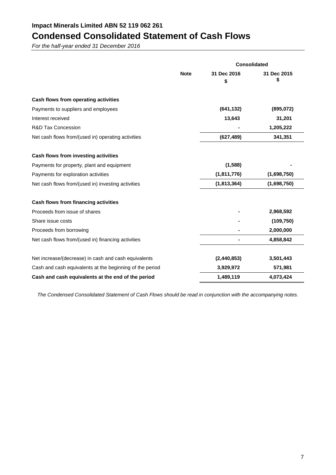## **Condensed Consolidated Statement of Cash Flows**

*For the half-year ended 31 December 2016*

|                                                          |             | <b>Consolidated</b> |                  |  |
|----------------------------------------------------------|-------------|---------------------|------------------|--|
|                                                          | <b>Note</b> | 31 Dec 2016<br>S    | 31 Dec 2015<br>S |  |
| Cash flows from operating activities                     |             |                     |                  |  |
| Payments to suppliers and employees                      |             | (641, 132)          | (895,072)        |  |
| Interest received                                        |             | 13,643              | 31,201           |  |
| <b>R&amp;D Tax Concession</b>                            |             |                     | 1,205,222        |  |
| Net cash flows from/(used in) operating activities       |             | (627, 489)          | 341,351          |  |
| Cash flows from investing activities                     |             |                     |                  |  |
| Payments for property, plant and equipment               |             | (1,588)             |                  |  |
| Payments for exploration activities                      |             | (1,811,776)         | (1,698,750)      |  |
| Net cash flows from/(used in) investing activities       |             | (1,813,364)         | (1,698,750)      |  |
| Cash flows from financing activities                     |             |                     |                  |  |
| Proceeds from issue of shares                            |             |                     | 2,968,592        |  |
| Share issue costs                                        |             |                     | (109, 750)       |  |
| Proceeds from borrowing                                  |             |                     | 2,000,000        |  |
| Net cash flows from/(used in) financing activities       |             |                     | 4,858,842        |  |
| Net increase/(decrease) in cash and cash equivalents     |             | (2,440,853)         | 3,501,443        |  |
| Cash and cash equivalents at the beginning of the period |             | 3,929,972           | 571,981          |  |
| Cash and cash equivalents at the end of the period       |             | 1,489,119           | 4,073,424        |  |

*The Condensed Consolidated Statement of Cash Flows should be read in conjunction with the accompanying notes.*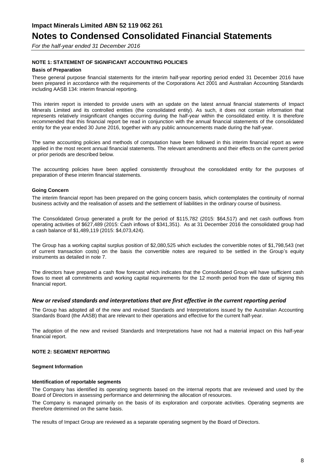*For the half-year ended 31 December 2016*

#### **NOTE 1: STATEMENT OF SIGNIFICANT ACCOUNTING POLICIES**

#### **Basis of Preparation**

These general purpose financial statements for the interim half-year reporting period ended 31 December 2016 have been prepared in accordance with the requirements of the Corporations Act 2001 and Australian Accounting Standards including AASB 134: interim financial reporting.

This interim report is intended to provide users with an update on the latest annual financial statements of Impact Minerals Limited and its controlled entities (the consolidated entity). As such, it does not contain information that represents relatively insignificant changes occurring during the half-year within the consolidated entity. It is therefore recommended that this financial report be read in conjunction with the annual financial statements of the consolidated entity for the year ended 30 June 2016, together with any public announcements made during the half-year.

The same accounting policies and methods of computation have been followed in this interim financial report as were applied in the most recent annual financial statements. The relevant amendments and their effects on the current period or prior periods are described below.

The accounting policies have been applied consistently throughout the consolidated entity for the purposes of preparation of these interim financial statements.

#### **Going Concern**

The interim financial report has been prepared on the going concern basis, which contemplates the continuity of normal business activity and the realisation of assets and the settlement of liabilities in the ordinary course of business.

The Consolidated Group generated a profit for the period of \$115,782 (2015: \$64,517) and net cash outflows from operating activities of \$627,489 (2015: Cash inflows of \$341,351). As at 31 December 2016 the consolidated group had a cash balance of \$1,489,119 (2015: \$4,073,424).

The Group has a working capital surplus position of \$2,080,525 which excludes the convertible notes of \$1,798,543 (net of current transaction costs) on the basis the convertible notes are required to be settled in the Group's equity instruments as detailed in note 7.

The directors have prepared a cash flow forecast which indicates that the Consolidated Group will have sufficient cash flows to meet all commitments and working capital requirements for the 12 month period from the date of signing this financial report.

#### *New or revised standards and interpretations that are first effective in the current reporting period*

The Group has adopted all of the new and revised Standards and Interpretations issued by the Australian Accounting Standards Board (the AASB) that are relevant to their operations and effective for the current half-year.

The adoption of the new and revised Standards and Interpretations have not had a material impact on this half-year financial report.

#### **NOTE 2: SEGMENT REPORTING**

#### **Segment Information**

#### **Identification of reportable segments**

The Company has identified its operating segments based on the internal reports that are reviewed and used by the Board of Directors in assessing performance and determining the allocation of resources.

The Company is managed primarily on the basis of its exploration and corporate activities. Operating segments are therefore determined on the same basis.

The results of Impact Group are reviewed as a separate operating segment by the Board of Directors.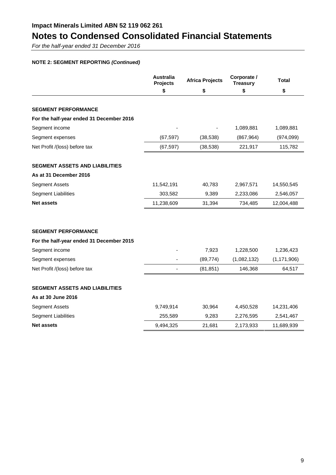*For the half-year ended 31 December 2016*

### **NOTE 2: SEGMENT REPORTING** *(Continued)*

|                                          | <b>Australia</b><br><b>Projects</b> | <b>Africa Projects</b> | Corporate /<br><b>Treasury</b> | <b>Total</b>  |
|------------------------------------------|-------------------------------------|------------------------|--------------------------------|---------------|
|                                          | \$                                  | \$                     | \$                             | \$            |
|                                          |                                     |                        |                                |               |
| <b>SEGMENT PERFORMANCE</b>               |                                     |                        |                                |               |
| For the half-year ended 31 December 2016 |                                     |                        |                                |               |
| Segment income                           |                                     |                        | 1,089,881                      | 1,089,881     |
| Segment expenses                         | (67, 597)                           | (38, 538)              | (867, 964)                     | (974, 099)    |
| Net Profit /(loss) before tax            | (67, 597)                           | (38, 538)              | 221,917                        | 115,782       |
| <b>SEGMENT ASSETS AND LIABILITIES</b>    |                                     |                        |                                |               |
| As at 31 December 2016                   |                                     |                        |                                |               |
| <b>Segment Assets</b>                    | 11,542,191                          | 40,783                 | 2,967,571                      | 14,550,545    |
| <b>Segment Liabilities</b>               | 303,582                             | 9,389                  | 2,233,086                      | 2,546,057     |
| <b>Net assets</b>                        | 11,238,609                          | 31,394                 | 734,485                        | 12,004,488    |
|                                          |                                     |                        |                                |               |
| <b>SEGMENT PERFORMANCE</b>               |                                     |                        |                                |               |
| For the half-year ended 31 December 2015 |                                     |                        |                                |               |
| Segment income                           |                                     | 7,923                  | 1,228,500                      | 1,236,423     |
| Segment expenses                         |                                     | (89, 774)              | (1,082,132)                    | (1, 171, 906) |
| Net Profit /(loss) before tax            |                                     | (81, 851)              | 146,368                        | 64,517        |
| <b>SEGMENT ASSETS AND LIABILITIES</b>    |                                     |                        |                                |               |
| As at 30 June 2016                       |                                     |                        |                                |               |
| <b>Segment Assets</b>                    | 9,749,914                           | 30,964                 | 4,450,528                      | 14,231,406    |
| <b>Segment Liabilities</b>               | 255,589                             | 9,283                  | 2,276,595                      | 2,541,467     |
| <b>Net assets</b>                        | 9,494,325                           | 21,681                 | 2,173,933                      | 11,689,939    |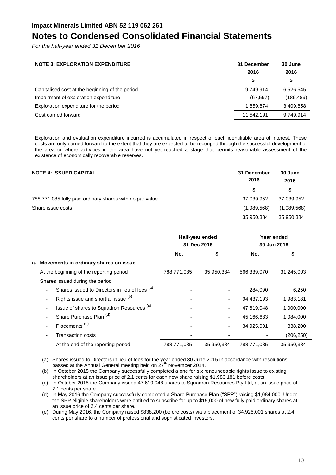*For the half-year ended 31 December 2016*

| <b>NOTE 3: EXPLORATION EXPENDITURE</b>          | 31 December<br>2016 | 30 June<br>2016 |
|-------------------------------------------------|---------------------|-----------------|
|                                                 | S                   | \$              |
| Capitalised cost at the beginning of the period | 9.749.914           | 6,526,545       |
| Impairment of exploration expenditure           | (67, 597)           | (186, 489)      |
| Exploration expenditure for the period          | 1,859,874           | 3,409,858       |
| Cost carried forward                            | 11,542,191          | 9,749,914       |

Exploration and evaluation expenditure incurred is accumulated in respect of each identifiable area of interest. These costs are only carried forward to the extent that they are expected to be recouped through the successful development of the area or where activities in the area have not yet reached a stage that permits reasonable assessment of the existence of economically recoverable reserves.

| <b>NOTE 4: ISSUED CAPITAL</b>                            | 31 December<br>2016 | 30 June<br>2016 |
|----------------------------------------------------------|---------------------|-----------------|
|                                                          | S                   | S               |
| 788,771,085 fully paid ordinary shares with no par value | 37,039,952          | 37.039.952      |
| Share issue costs                                        | (1,089,568)         | (1,089,568)     |
|                                                          | 35,950,384          | 35,950,384      |

|  |                                                      | Half-year ended<br>31 Dec 2016 |            | Year ended<br>30 Jun 2016 |            |
|--|------------------------------------------------------|--------------------------------|------------|---------------------------|------------|
|  |                                                      | No.                            | \$         | No.                       | \$         |
|  | a. Movements in ordinary shares on issue             |                                |            |                           |            |
|  | At the beginning of the reporting period             | 788,771,085                    | 35,950,384 | 566,339,070               | 31,245,003 |
|  | Shares issued during the period                      |                                |            |                           |            |
|  | Shares issued to Directors in lieu of fees (a)       |                                |            | 284,090                   | 6,250      |
|  | Rights issue and shortfall issue (b)                 |                                |            | 94,437,193                | 1,983,181  |
|  | Issue of shares to Squadron Resources <sup>(c)</sup> |                                |            | 47,619,048                | 1,000,000  |
|  | Share Purchase Plan (d)                              |                                |            | 45,166,683                | 1,084,000  |
|  | Placements <sup>(e)</sup>                            |                                |            | 34,925,001                | 838,200    |
|  | <b>Transaction costs</b>                             |                                |            |                           | (206, 250) |
|  | At the end of the reporting period                   | 788,771,085                    | 35,950,384 | 788,771,085               | 35,950,384 |

(a) Shares issued to Directors in lieu of fees for the year ended 30 June 2015 in accordance with resolutions passed at the Annual General meeting held on 27<sup>th</sup> November 2014.

(b) In October 2015 the Company successfully completed a one for six renounceable rights issue to existing shareholders at an issue price of 2.1 cents for each new share raising \$1,983,181 before costs.

(c) In October 2015 the Company issued 47,619,048 shares to Squadron Resources Pty Ltd, at an issue price of 2.1 cents per share.

(d) In May 2016 the Company successfully completed a Share Purchase Plan ("SPP") raising \$1,084,000. Under the SPP eligible shareholders were entitled to subscribe for up to \$15,000 of new fully paid ordinary shares at an issue price of 2.4 cents per share.

(e) During May 2016, the Company raised \$838,200 (before costs) via a placement of 34,925,001 shares at 2.4 cents per share to a number of professional and sophisticated investors.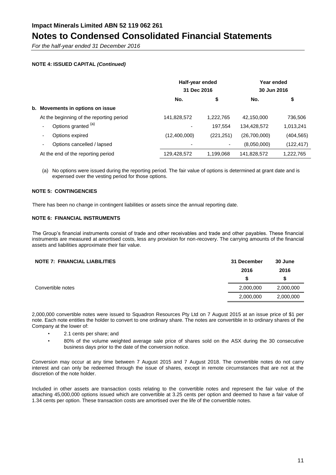*For the half-year ended 31 December 2016*

#### **NOTE 4: ISSUED CAPITAL** *(Continued)*

|                                          | Half-year ended<br>31 Dec 2016 |            | Year ended<br>30 Jun 2016 |            |
|------------------------------------------|--------------------------------|------------|---------------------------|------------|
|                                          | No.                            | \$         | No.                       | \$         |
| b. Movements in options on issue         |                                |            |                           |            |
| At the beginning of the reporting period | 141,828,572                    | 1,222,765  | 42,150,000                | 736,506    |
| Options granted (a)                      |                                | 197.554    | 134,428,572               | 1,013,241  |
| Options expired                          | (12,400,000)                   | (221, 251) | (26,700,000)              | (404, 565) |
| Options cancelled / lapsed               |                                |            | (8,050,000)               | (122, 417) |
| At the end of the reporting period       | 129,428,572                    | 1,199,068  | 141,828,572               | 1,222,765  |

(a) No options were issued during the reporting period. The fair value of options is determined at grant date and is expensed over the vesting period for those options.

#### **NOTE 5: CONTINGENCIES**

There has been no change in contingent liabilities or assets since the annual reporting date.

#### **NOTE 6: FINANCIAL INSTRUMENTS**

The Group's financial instruments consist of trade and other receivables and trade and other payables. These financial instruments are measured at amortised costs, less any provision for non-recovery. The carrying amounts of the financial assets and liabilities approximate their fair value.

| <b>NOTE 7: FINANCIAL LIABILITIES</b> | 31 December | 30 June   |
|--------------------------------------|-------------|-----------|
|                                      | 2016        | 2016      |
|                                      |             | S         |
| Convertible notes                    | 2,000,000   | 2,000,000 |
|                                      | 2,000,000   | 2,000,000 |

2,000,000 convertible notes were issued to Squadron Resources Pty Ltd on 7 August 2015 at an issue price of \$1 per note. Each note entitles the holder to convert to one ordinary share. The notes are convertible in to ordinary shares of the Company at the lower of:

- 2.1 cents per share; and
- 80% of the volume weighted average sale price of shares sold on the ASX during the 30 consecutive business days prior to the date of the conversion notice.

Conversion may occur at any time between 7 August 2015 and 7 August 2018. The convertible notes do not carry interest and can only be redeemed through the issue of shares, except in remote circumstances that are not at the discretion of the note holder.

Included in other assets are transaction costs relating to the convertible notes and represent the fair value of the attaching 45,000,000 options issued which are convertible at 3.25 cents per option and deemed to have a fair value of 1.34 cents per option. These transaction costs are amortised over the life of the convertible notes.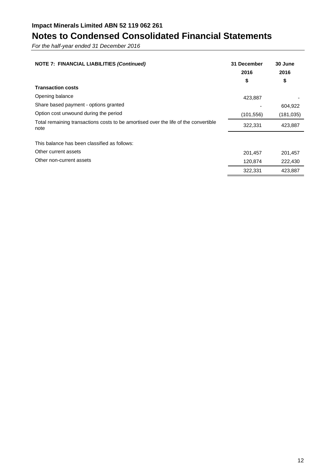*For the half-year ended 31 December 2016*

| <b>NOTE 7: FINANCIAL LIABILITIES (Continued)</b>                                                 | 31 December<br>2016<br>\$     | 30 June<br>2016<br>\$         |
|--------------------------------------------------------------------------------------------------|-------------------------------|-------------------------------|
| <b>Transaction costs</b>                                                                         |                               |                               |
| Opening balance                                                                                  | 423,887                       |                               |
| Share based payment - options granted                                                            |                               | 604,922                       |
| Option cost unwound during the period                                                            | (101, 556)                    | (181, 035)                    |
| Total remaining transactions costs to be amortised over the life of the convertible<br>note      | 322,331                       | 423,887                       |
| This balance has been classified as follows:<br>Other current assets<br>Other non-current assets | 201,457<br>120,874<br>322,331 | 201,457<br>222,430<br>423,887 |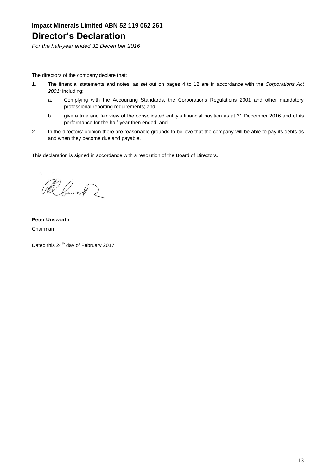*For the half-year ended 31 December 2016*

The directors of the company declare that:

- 1. The financial statements and notes, as set out on pages 4 to 12 are in accordance with the *Corporations Act 2001;* including:
	- a. Complying with the Accounting Standards, the Corporations Regulations 2001 and other mandatory professional reporting requirements; and
	- b. give a true and fair view of the consolidated entity's financial position as at 31 December 2016 and of its performance for the half-year then ended; and
- 2. In the directors' opinion there are reasonable grounds to believe that the company will be able to pay its debts as and when they become due and payable.

This declaration is signed in accordance with a resolution of the Board of Directors.

Ramont 2

**Peter Unsworth** Chairman

Dated this 24<sup>th</sup> day of February 2017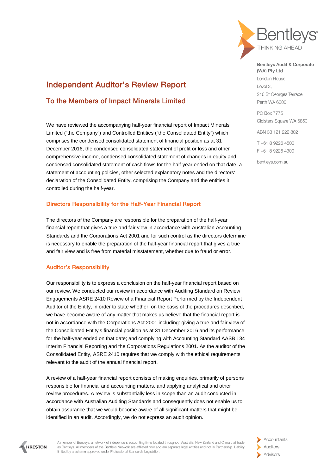

## Independent Auditor's Review Report

### To the Members of Impact Minerals Limited

We have reviewed the accompanying half-year financial report of Impact Minerals Limited ("the Company") and Controlled Entities ("the Consolidated Entity") which comprises the condensed consolidated statement of financial position as at 31 December 2016, the condensed consolidated statement of profit or loss and other comprehensive income, condensed consolidated statement of changes in equity and condensed consolidated statement of cash flows for the half-year ended on that date, a statement of accounting policies, other selected explanatory notes and the directors' declaration of the Consolidated Entity, comprising the Company and the entities it controlled during the half-year.

#### Directors Responsibility for the Half-Year Financial Report

The directors of the Company are responsible for the preparation of the half-year financial report that gives a true and fair view in accordance with Australian Accounting Standards and the Corporations Act 2001 and for such control as the directors determine is necessary to enable the preparation of the half-year financial report that gives a true and fair view and is free from material misstatement, whether due to fraud or error.

#### Auditor's Responsibility

Our responsibility is to express a conclusion on the half-year financial report based on our review. We conducted our review in accordance with Auditing Standard on Review Engagements ASRE 2410 Review of a Financial Report Performed by the Independent Auditor of the Entity, in order to state whether, on the basis of the procedures described, we have become aware of any matter that makes us believe that the financial report is not in accordance with the Corporations Act 2001 including: giving a true and fair view of the Consolidated Entity's financial position as at 31 December 2016 and its performance for the half-year ended on that date; and complying with Accounting Standard AASB 134 Interim Financial Reporting and the Corporations Regulations 2001. As the auditor of the Consolidated Entity, ASRE 2410 requires that we comply with the ethical requirements relevant to the audit of the annual financial report.

A review of a half-year financial report consists of making enquiries, primarily of persons responsible for financial and accounting matters, and applying analytical and other review procedures. A review is substantially less in scope than an audit conducted in accordance with Australian Auditing Standards and consequently does not enable us to obtain assurance that we would become aware of all significant matters that might be identified in an audit. Accordingly, we do not express an audit opinion.

Bentleys Audit & Corporate (WA) Pty Ltd London House

 $S$  level 3 216 St Georges Terrace Perth WA 6000

**PO Box 7775** Cloisters Square WA 6850

ABN 33 121 222 802

T+61 8 9226 4500 F+61892264300

bentlevs.com.au



A member of Bentleys, a network of independent accounting firms located throughout Australia, New Zealand and China that trade as Bentleys. All members of the Bentleys Network are affiliated only and are separate legal entities and not in Partnership. Liability limited by a scheme approved under Professional Standards Legislation.

Accountants Auditors Advisors